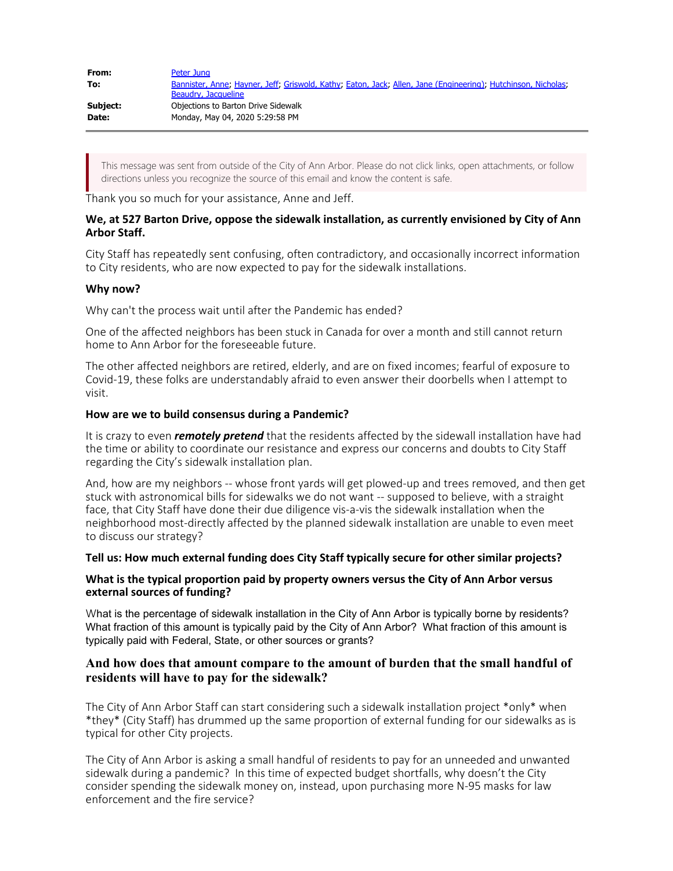| From:    | Peter Jung                                                                                                    |
|----------|---------------------------------------------------------------------------------------------------------------|
| To:      | Bannister, Anne; Hayner, Jeff; Griswold, Kathy; Eaton, Jack; Allen, Jane (Engineering); Hutchinson, Nicholas; |
|          | Beaudry, Jacqueline                                                                                           |
| Subject: | Objections to Barton Drive Sidewalk                                                                           |
| Date:    | Monday, May 04, 2020 5:29:58 PM                                                                               |
|          |                                                                                                               |

This message was sent from outside of the City of Ann Arbor. Please do not click links, open attachments, or follow directions unless you recognize the source of this email and know the content is safe.

Thank you so much for your assistance, Anne and Jeff.

## **We, at 527 Barton Drive, oppose the sidewalk installation, as currently envisioned by City of Ann Arbor Staff.**

City Staff has repeatedly sent confusing, often contradictory, and occasionally incorrect information to City residents, who are now expected to pay for the sidewalk installations.

## **Why now?**

Why can't the process wait until after the Pandemic has ended?

One of the affected neighbors has been stuck in Canada for over a month and still cannot return home to Ann Arbor for the foreseeable future.

The other affected neighbors are retired, elderly, and are on fixed incomes; fearful of exposure to Covid-19, these folks are understandably afraid to even answer their doorbells when I attempt to visit.

#### **How are we to build consensus during a Pandemic?**

It is crazy to even *remotely pretend* that the residents affected by the sidewall installation have had the time or ability to coordinate our resistance and express our concerns and doubts to City Staff regarding the City's sidewalk installation plan.

And, how are my neighbors -- whose front yards will get plowed-up and trees removed, and then get stuck with astronomical bills for sidewalks we do not want -- supposed to believe, with a straight face, that City Staff have done their due diligence vis-a-vis the sidewalk installation when the neighborhood most-directly affected by the planned sidewalk installation are unable to even meet to discuss our strategy?

#### **Tell us: How much external funding does City Staff typically secure for other similar projects?**

## **What is the typical proportion paid by property owners versus the City of Ann Arbor versus external sources of funding?**

What is the percentage of sidewalk installation in the City of Ann Arbor is typically borne by residents? What fraction of this amount is typically paid by the City of Ann Arbor? What fraction of this amount is typically paid with Federal, State, or other sources or grants?

# **And how does that amount compare to the amount of burden that the small handful of residents will have to pay for the sidewalk?**

The City of Ann Arbor Staff can start considering such a sidewalk installation project \*only\* when \*they\* (City Staff) has drummed up the same proportion of external funding for our sidewalks as is typical for other City projects.

The City of Ann Arbor is asking a small handful of residents to pay for an unneeded and unwanted sidewalk during a pandemic? In this time of expected budget shortfalls, why doesn't the City consider spending the sidewalk money on, instead, upon purchasing more N-95 masks for law enforcement and the fire service?